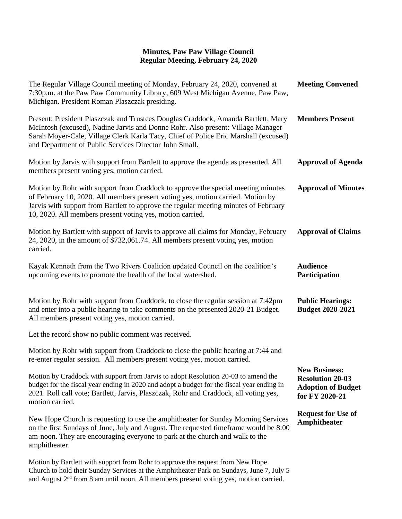## **Minutes, Paw Paw Village Council Regular Meeting, February 24, 2020**

| The Regular Village Council meeting of Monday, February 24, 2020, convened at<br>7:30p.m. at the Paw Paw Community Library, 609 West Michigan Avenue, Paw Paw,<br>Michigan. President Roman Plaszczak presiding.                                                                                                         | <b>Meeting Convened</b>                                                                        |
|--------------------------------------------------------------------------------------------------------------------------------------------------------------------------------------------------------------------------------------------------------------------------------------------------------------------------|------------------------------------------------------------------------------------------------|
| Present: President Plaszczak and Trustees Douglas Craddock, Amanda Bartlett, Mary<br>McIntosh (excused), Nadine Jarvis and Donne Rohr. Also present: Village Manager<br>Sarah Moyer-Cale, Village Clerk Karla Tacy, Chief of Police Eric Marshall (excused)<br>and Department of Public Services Director John Small.    | <b>Members Present</b>                                                                         |
| Motion by Jarvis with support from Bartlett to approve the agenda as presented. All<br>members present voting yes, motion carried.                                                                                                                                                                                       | <b>Approval of Agenda</b>                                                                      |
| Motion by Rohr with support from Craddock to approve the special meeting minutes<br>of February 10, 2020. All members present voting yes, motion carried. Motion by<br>Jarvis with support from Bartlett to approve the regular meeting minutes of February<br>10, 2020. All members present voting yes, motion carried. | <b>Approval of Minutes</b>                                                                     |
| Motion by Bartlett with support of Jarvis to approve all claims for Monday, February<br>24, 2020, in the amount of \$732,061.74. All members present voting yes, motion<br>carried.                                                                                                                                      | <b>Approval of Claims</b>                                                                      |
| Kayak Kenneth from the Two Rivers Coalition updated Council on the coalition's<br>upcoming events to promote the health of the local watershed.                                                                                                                                                                          | <b>Audience</b><br>Participation                                                               |
| Motion by Rohr with support from Craddock, to close the regular session at 7:42pm<br>and enter into a public hearing to take comments on the presented 2020-21 Budget.<br>All members present voting yes, motion carried.                                                                                                | <b>Public Hearings:</b><br><b>Budget 2020-2021</b>                                             |
| Let the record show no public comment was received.                                                                                                                                                                                                                                                                      |                                                                                                |
| Motion by Rohr with support from Craddock to close the public hearing at 7:44 and<br>re-enter regular session. All members present voting yes, motion carried.                                                                                                                                                           |                                                                                                |
| Motion by Craddock with support from Jarvis to adopt Resolution 20-03 to amend the<br>budget for the fiscal year ending in 2020 and adopt a budget for the fiscal year ending in<br>2021. Roll call vote; Bartlett, Jarvis, Plaszczak, Rohr and Craddock, all voting yes,<br>motion carried.                             | <b>New Business:</b><br><b>Resolution 20-03</b><br><b>Adoption of Budget</b><br>for FY 2020-21 |
| New Hope Church is requesting to use the amphitheater for Sunday Morning Services<br>on the first Sundays of June, July and August. The requested timeframe would be 8:00<br>am-noon. They are encouraging everyone to park at the church and walk to the<br>amphitheater.                                               | <b>Request for Use of</b><br><b>Amphitheater</b>                                               |
| Motion by Bartlett with support from Rohr to approve the request from New Hope                                                                                                                                                                                                                                           |                                                                                                |

Church to hold their Sunday Services at the Amphitheater Park on Sundays, June 7, July 5 and August 2<sup>nd</sup> from 8 am until noon. All members present voting yes, motion carried.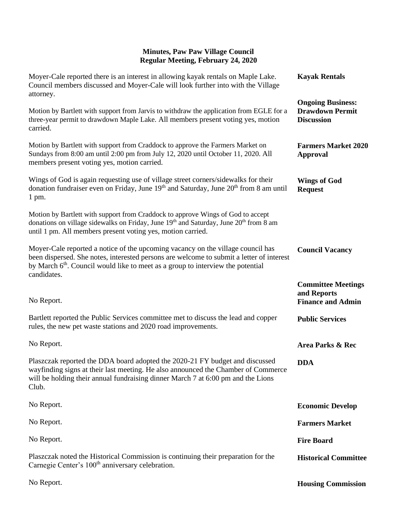## **Minutes, Paw Paw Village Council Regular Meeting, February 24, 2020**

| Moyer-Cale reported there is an interest in allowing kayak rentals on Maple Lake.<br>Council members discussed and Moyer-Cale will look further into with the Village<br>attorney.                                                                                                        | <b>Kayak Rentals</b>                                                    |
|-------------------------------------------------------------------------------------------------------------------------------------------------------------------------------------------------------------------------------------------------------------------------------------------|-------------------------------------------------------------------------|
| Motion by Bartlett with support from Jarvis to withdraw the application from EGLE for a<br>three-year permit to drawdown Maple Lake. All members present voting yes, motion<br>carried.                                                                                                   | <b>Ongoing Business:</b><br><b>Drawdown Permit</b><br><b>Discussion</b> |
| Motion by Bartlett with support from Craddock to approve the Farmers Market on<br>Sundays from 8:00 am until 2:00 pm from July 12, 2020 until October 11, 2020. All<br>members present voting yes, motion carried.                                                                        | <b>Farmers Market 2020</b><br><b>Approval</b>                           |
| Wings of God is again requesting use of village street corners/sidewalks for their<br>donation fundraiser even on Friday, June $19th$ and Saturday, June $20th$ from 8 am until<br>$1$ pm.                                                                                                | <b>Wings of God</b><br><b>Request</b>                                   |
| Motion by Bartlett with support from Craddock to approve Wings of God to accept<br>donations on village sidewalks on Friday, June 19th and Saturday, June 20th from 8 am<br>until 1 pm. All members present voting yes, motion carried.                                                   |                                                                         |
| Moyer-Cale reported a notice of the upcoming vacancy on the village council has<br>been dispersed. She notes, interested persons are welcome to submit a letter of interest<br>by March 6 <sup>th</sup> . Council would like to meet as a group to interview the potential<br>candidates. | <b>Council Vacancy</b>                                                  |
| No Report.                                                                                                                                                                                                                                                                                | <b>Committee Meetings</b><br>and Reports<br><b>Finance and Admin</b>    |
| Bartlett reported the Public Services committee met to discuss the lead and copper<br>rules, the new pet waste stations and 2020 road improvements.                                                                                                                                       | <b>Public Services</b>                                                  |
| No Report.                                                                                                                                                                                                                                                                                | Area Parks & Rec                                                        |
| Plaszczak reported the DDA board adopted the 2020-21 FY budget and discussed<br>wayfinding signs at their last meeting. He also announced the Chamber of Commerce<br>will be holding their annual fundraising dinner March 7 at 6:00 pm and the Lions<br>Club.                            | <b>DDA</b>                                                              |
| No Report.                                                                                                                                                                                                                                                                                | <b>Economic Develop</b>                                                 |
| No Report.                                                                                                                                                                                                                                                                                | <b>Farmers Market</b>                                                   |
| No Report.                                                                                                                                                                                                                                                                                | <b>Fire Board</b>                                                       |
| Plaszczak noted the Historical Commission is continuing their preparation for the                                                                                                                                                                                                         |                                                                         |
| Carnegie Center's 100 <sup>th</sup> anniversary celebration.                                                                                                                                                                                                                              | <b>Historical Committee</b>                                             |